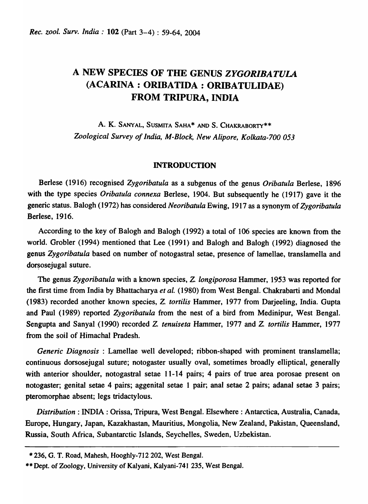# A NEW SPECIES OF THE GENUS *ZYGORIBATULA*  (ACARINA: ORIBATIDA: ORIBATULIDAE) FROM TRIPURA, INDIA

A. K. SANYAL, SUSMITA SAHA\* AND S. CHAKRABORTY\*\* *Zoological Survey of India, M-Block, New Alipore, Kolkata-700 053* 

## INTRODUCTION

Berlese (1916) recognised *Zygoribatula* as a subgenus of the genus *Oribatula* Berlese, 1896 with the type species *Oribatula connexa* Berlese, 1904. But subsequently he (1917) gave it the generic status. Balogh (1972) has considered *Neoribatula* Ewing, 1917 as a synonym of *Zygoribatula*  Berlese, 1916.

According to the key of Balogh and Balogh (1992) a total of 106 species are known from the world. Grobler (1994) mentioned that Lee (1991) and Balogh and Balogh (1992) diagnosed the genus *Zygoribatula* based on number of notogastral setae, presence of lamellae, translamella and dorsosejugal suture.

The genus *Zygoribatula* with a known species, Z. *longiporosa* Hammer, 1953 was reported for the first time from India by Bhattacharya *et al.* (1980) from West Bengal. Chakrabarti and Mondal (1983) recorded another known species, Z. *tortilis* Hammer, 1977 from Darjeeling, India. Gupta and Paul (1989) reported *Zygoribatula* from the nest of a bird from Medinipur, West Bengal. Sengupta and Sanyal (1990) recorded Z. *tenuiseta* Hammer, 1977 and Z. *tortilis* Hammer, 1977 from the soil of Himachal Pradesh.

*Generic Diagnosis* : Lamellae well developed; ribbon-shaped with prominent translamella; continuous dorsosejugal suture; notogaster usually oval, sometimes broadly elliptical, generally with anterior shoulder, notogastral setae 11-14 pairs; 4 pairs of true area porosae present on notogaster; genital setae 4 pairs; aggenital setae 1 pair; anal setae 2 pairs; adanal setae 3 pairs; pteromorphae absent; legs tridactylous.

*Distribution:* INDIA : Orissa, Tripura, West Bengal. Elsewhere: Antarctica, Australia, Canada, Europe, Hungary, Japan, Kazakhastan, Mauritius, Mongolia, New Zealand, Pakistan, Queensland, Russia, South Africa, Subantarctic Islands, Seychelles, Sweden, Uzbekistan.

<sup>\*236,</sup> G. T. Road, Mahesh, Hooghly-712 202, West Bengal.

<sup>\*\*</sup> Dept. of Zoology, University of Kalyani, Kalyani-741 235, West Bengal.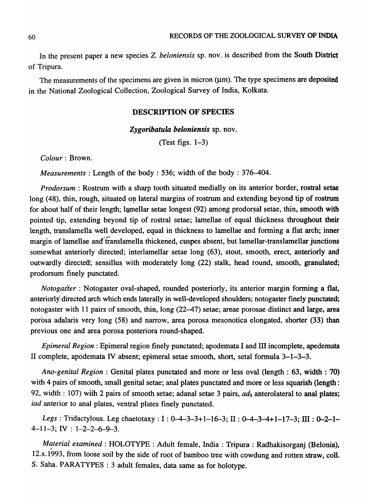In the present paper a new species Z. *beloniensis* sp. nov. is described from the South District of Tripura.

The measurements of the specimens are given in micron  $(\mu m)$ . The type specimens are deposited in the National Zoological Collection, Zoological Survey of India, Kolkata.

#### DESCRIPTION OF SPECIES

*Zygoribatula beloniensis* sp. nov.

(Test figs.  $1-3$ )

*Colour:* Brown.

*Measurements:* Length of the body : 536; width of the body : 376-404.

*Prodorsum* : Rostrum with a sharp tooth situated medially on its anterior border, rostral setae long (48), thin, rough, situated on lateral margins of rostrum and extending beyond tip of rostrum for about half of their length; lamellar setae longest (92) among prodorsal setae, thin, smooth with pointed tip, extending beyond tip of rostral setae; lamellae of equal thickness througbout their length, translamella well developed, equal in thickness to lamellae and forming a flat arch; inner margin of lamellae and translamella thickened, cuspes absent, but lamellar-translamellar junctions somewhat anteriorly directed; interlamellar setae long (63), stout, smooth, erect, anteriorly and outwardly directed; sensillus with moderately long (22) stalk, head round, smooth, granulated; prodorsum finely punctated.

Notogaster : Notogaster oval-shaped, rounded posteriorly, its anterior margin forming a flat, anteriorly' directed arch which ends laterally in well-developed shoulders; notogaster finely punctated; notogaster with 11 pairs of smooth, thin, long (22-47) setae; areae porosae distinct and large, area porosa adalaris very long (58) and narrow, area porosa mesonotica elongated, shorter (33) than previous one and area porosa posteriora round-shaped.

*Epimeral Region:* Epimeral region finely punctated; apodemata I and III incomplete, apedemata II complete, apodemata *N* absent; epimeral setae smooth, short, setal formula 3-1-3-3.

*Ano-genital Region:* Genital plates punctated and more or less oval (length: 63, width: 70) with 4 pairs of smooth, small genital setae; anal plates punctated and more or less squarish (length : 92, width : 107) with 2 pairs of smooth setae; adanal setae 3 pairs,  $ad_3$  anterolateral to anal plates; iad anterior to anal plates, ventral plates finely punctated.

*Legs*: Tridactylous. Leg chaetotaxy: I: 0-4-3-3+1-16-3; II: 0-4-3-4+1-17-3; III: 0-2-1- $4-11-3$ ; IV :  $1-2-2-6-9-3$ .

*Material examined*: HOLOTYPE : Adult female, India: Tripura : Radhakisorganj (Belonia), 12.x.1993, from loose soil by the side of root of bamboo tree with cowdung and rotten straw, colI. S. Saha. PARATYPES : 3 adult females, data same as for holotype.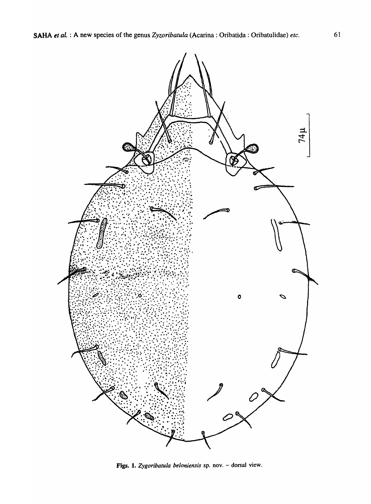

Figs. 1. *Zygoribatula beloniensis* sp. nov. - dorsal view.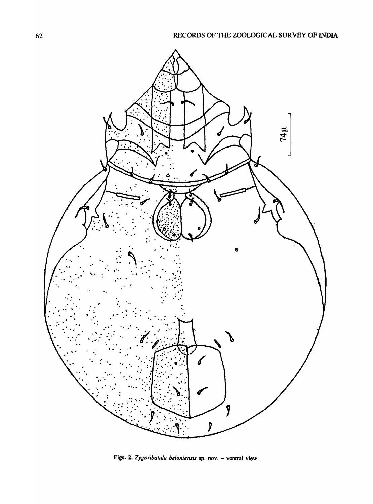

Figs. 2. Zygoribatula beloniensis sp. nov. - ventral view.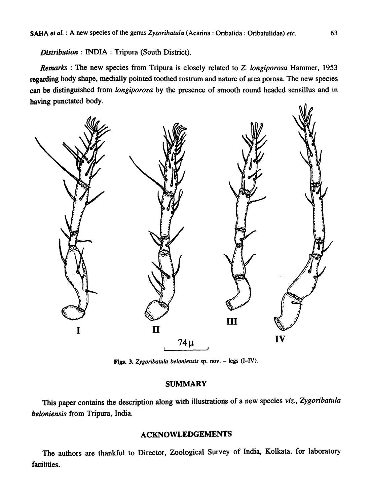*Distribution* : INDIA: Tripura (South District).

*Remarks:* The new species from Tripura is closely related to Z. *longiporosa* Hammer, 1953 regarding body shape, medially pointed toothed rostrum and nature of area porosa. The new species can be distinguished from *longiporosa* by the presence of smooth round headed sensillus and in baving punctated body.



Figs. J. *Zygoribatula beloniensis* sp. nov. - legs (I-IV).

## SUMMARY

This paper contains the description along with illustrations of a new species *viz., Zygoribatula beloniensis* from Tripura, India.

## ACKNOWLEDGEMENTS

The authors are thankful to Director, Zoological Survey of India, Kolkata, for laboratory facilities.